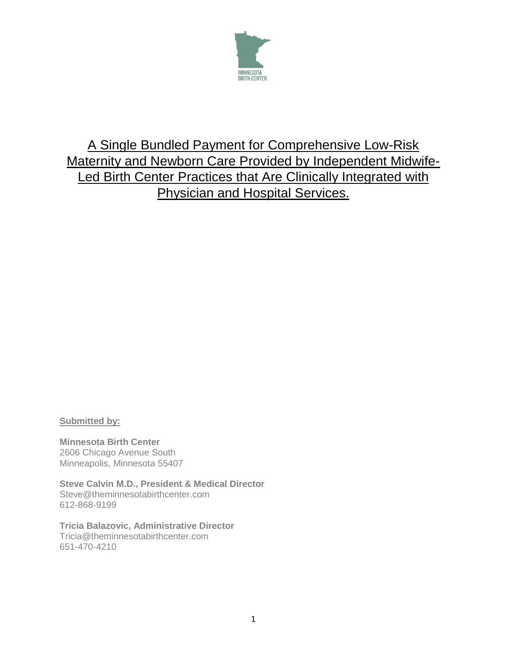

# A Single Bundled Payment for Comprehensive Low-Risk Maternity and Newborn Care Provided by Independent Midwife-Led Birth Center Practices that Are Clinically Integrated with Physician and Hospital Services.

## **Submitted by:**

**Minnesota Birth Center** 2606 Chicago Avenue South Minneapolis, Minnesota 55407

**Steve Calvin M.D., President & Medical Director** Steve@theminnesotabirthcenter.com 612-868-9199

**Tricia Balazovic, Administrative Director** Tricia@theminnesotabirthcenter.com 651-470-4210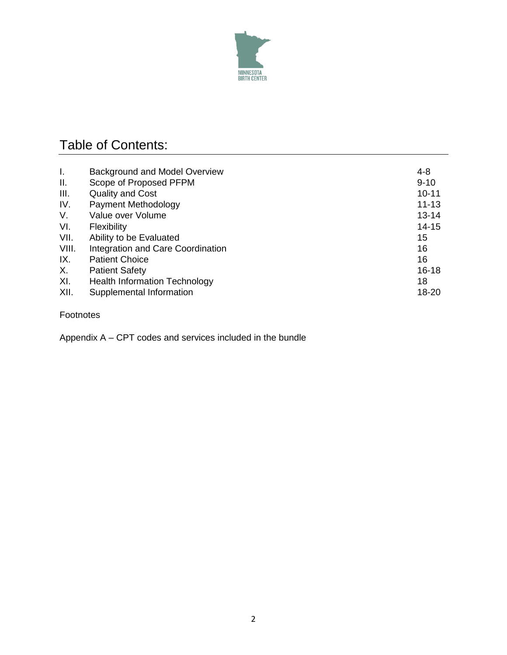

# Table of Contents:

| I.    | Background and Model Overview        | 4-8       |
|-------|--------------------------------------|-----------|
| ΙΙ.   | Scope of Proposed PFPM               | $9 - 10$  |
| III.  | <b>Quality and Cost</b>              | $10 - 11$ |
| IV.   | Payment Methodology                  | $11 - 13$ |
| V.    | Value over Volume                    | $13 - 14$ |
| VI.   | Flexibility                          | $14 - 15$ |
| VII.  | Ability to be Evaluated              | 15        |
| VIII. | Integration and Care Coordination    | 16        |
| IX.   | <b>Patient Choice</b>                | 16        |
| Χ.    | <b>Patient Safety</b>                | $16 - 18$ |
| XI.   | <b>Health Information Technology</b> | 18        |
| XII.  | Supplemental Information             | 18-20     |

## Footnotes

Appendix A – CPT codes and services included in the bundle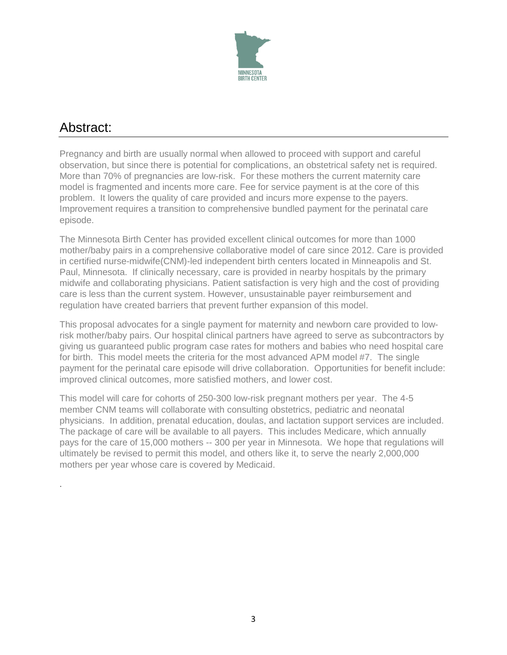

# Abstract:

.

Pregnancy and birth are usually normal when allowed to proceed with support and careful observation, but since there is potential for complications, an obstetrical safety net is required. More than 70% of pregnancies are low-risk. For these mothers the current maternity care model is fragmented and incents more care. Fee for service payment is at the core of this problem. It lowers the quality of care provided and incurs more expense to the payers. Improvement requires a transition to comprehensive bundled payment for the perinatal care episode.

The Minnesota Birth Center has provided excellent clinical outcomes for more than 1000 mother/baby pairs in a comprehensive collaborative model of care since 2012. Care is provided in certified nurse-midwife(CNM)-led independent birth centers located in Minneapolis and St. Paul, Minnesota. If clinically necessary, care is provided in nearby hospitals by the primary midwife and collaborating physicians. Patient satisfaction is very high and the cost of providing care is less than the current system. However, unsustainable payer reimbursement and regulation have created barriers that prevent further expansion of this model.

This proposal advocates for a single payment for maternity and newborn care provided to lowrisk mother/baby pairs. Our hospital clinical partners have agreed to serve as subcontractors by giving us guaranteed public program case rates for mothers and babies who need hospital care for birth. This model meets the criteria for the most advanced APM model #7. The single payment for the perinatal care episode will drive collaboration. Opportunities for benefit include: improved clinical outcomes, more satisfied mothers, and lower cost.

This model will care for cohorts of 250-300 low-risk pregnant mothers per year. The 4-5 member CNM teams will collaborate with consulting obstetrics, pediatric and neonatal physicians. In addition, prenatal education, doulas, and lactation support services are included. The package of care will be available to all payers. This includes Medicare, which annually pays for the care of 15,000 mothers -- 300 per year in Minnesota. We hope that regulations will ultimately be revised to permit this model, and others like it, to serve the nearly 2,000,000 mothers per year whose care is covered by Medicaid.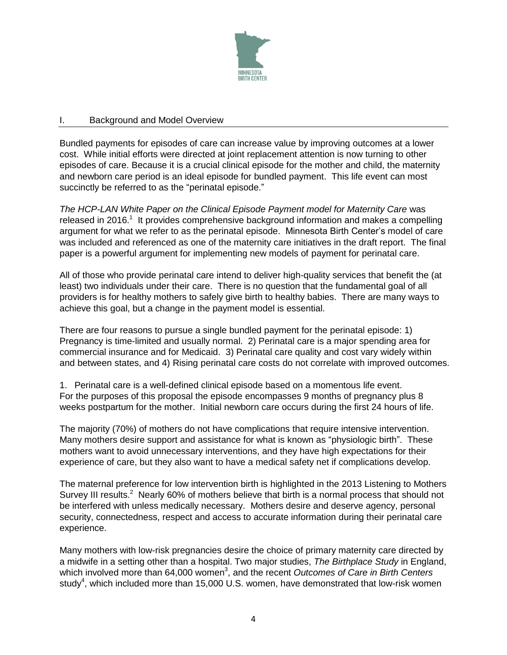

## I. Background and Model Overview

Bundled payments for episodes of care can increase value by improving outcomes at a lower cost. While initial efforts were directed at joint replacement attention is now turning to other episodes of care. Because it is a crucial clinical episode for the mother and child, the maternity and newborn care period is an ideal episode for bundled payment. This life event can most succinctly be referred to as the "perinatal episode."

*The HCP-LAN White Paper on the Clinical Episode Payment model for Maternity Care* was released in 2016.<sup>1</sup> It provides comprehensive background information and makes a compelling argument for what we refer to as the perinatal episode. Minnesota Birth Center's model of care was included and referenced as one of the maternity care initiatives in the draft report. The final paper is a powerful argument for implementing new models of payment for perinatal care.

All of those who provide perinatal care intend to deliver high-quality services that benefit the (at least) two individuals under their care. There is no question that the fundamental goal of all providers is for healthy mothers to safely give birth to healthy babies. There are many ways to achieve this goal, but a change in the payment model is essential.

There are four reasons to pursue a single bundled payment for the perinatal episode: 1) Pregnancy is time-limited and usually normal. 2) Perinatal care is a major spending area for commercial insurance and for Medicaid. 3) Perinatal care quality and cost vary widely within and between states, and 4) Rising perinatal care costs do not correlate with improved outcomes.

1. Perinatal care is a well-defined clinical episode based on a momentous life event. For the purposes of this proposal the episode encompasses 9 months of pregnancy plus 8 weeks postpartum for the mother. Initial newborn care occurs during the first 24 hours of life.

The majority (70%) of mothers do not have complications that require intensive intervention. Many mothers desire support and assistance for what is known as "physiologic birth". These mothers want to avoid unnecessary interventions, and they have high expectations for their experience of care, but they also want to have a medical safety net if complications develop.

The maternal preference for low intervention birth is highlighted in the 2013 Listening to Mothers Survey III results.<sup>2</sup> Nearly 60% of mothers believe that birth is a normal process that should not be interfered with unless medically necessary. Mothers desire and deserve agency, personal security, connectedness, respect and access to accurate information during their perinatal care experience.

Many mothers with low-risk pregnancies desire the choice of primary maternity care directed by a midwife in a setting other than a hospital. Two major studies, *The Birthplace Study* in England, which involved more than 64,000 women 3 , and the recent *Outcomes of Care in Birth Centers* study<sup>4</sup>, which included more than 15,000 U.S. women, have demonstrated that low-risk women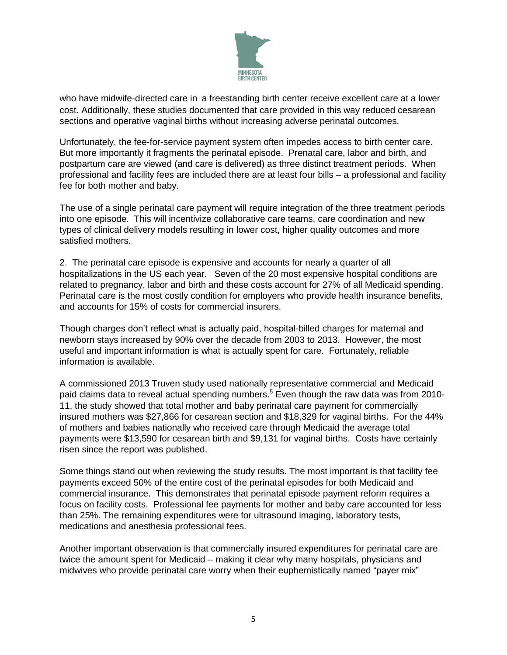

who have midwife-directed care in a freestanding birth center receive excellent care at a lower cost. Additionally, these studies documented that care provided in this way reduced cesarean sections and operative vaginal births without increasing adverse perinatal outcomes.

Unfortunately, the fee-for-service payment system often impedes access to birth center care. But more importantly it fragments the perinatal episode. Prenatal care, labor and birth, and postpartum care are viewed (and care is delivered) as three distinct treatment periods. When professional and facility fees are included there are at least four bills – a professional and facility fee for both mother and baby.

The use of a single perinatal care payment will require integration of the three treatment periods into one episode. This will incentivize collaborative care teams, care coordination and new types of clinical delivery models resulting in lower cost, higher quality outcomes and more satisfied mothers.

2. The perinatal care episode is expensive and accounts for nearly a quarter of all hospitalizations in the US each year. Seven of the 20 most expensive hospital conditions are related to pregnancy, labor and birth and these costs account for 27% of all Medicaid spending. Perinatal care is the most costly condition for employers who provide health insurance benefits, and accounts for 15% of costs for commercial insurers.

Though charges don't reflect what is actually paid, hospital-billed charges for maternal and newborn stays increased by 90% over the decade from 2003 to 2013. However, the most useful and important information is what is actually spent for care. Fortunately, reliable information is available.

A commissioned 2013 Truven study used nationally representative commercial and Medicaid paid claims data to reveal actual spending numbers.<sup>5</sup> Even though the raw data was from 2010-11, the study showed that total mother and baby perinatal care payment for commercially insured mothers was \$27,866 for cesarean section and \$18,329 for vaginal births. For the 44% of mothers and babies nationally who received care through Medicaid the average total payments were \$13,590 for cesarean birth and \$9,131 for vaginal births. Costs have certainly risen since the report was published.

Some things stand out when reviewing the study results. The most important is that facility fee payments exceed 50% of the entire cost of the perinatal episodes for both Medicaid and commercial insurance. This demonstrates that perinatal episode payment reform requires a focus on facility costs. Professional fee payments for mother and baby care accounted for less than 25%. The remaining expenditures were for ultrasound imaging, laboratory tests, medications and anesthesia professional fees.

Another important observation is that commercially insured expenditures for perinatal care are twice the amount spent for Medicaid – making it clear why many hospitals, physicians and midwives who provide perinatal care worry when their euphemistically named "payer mix"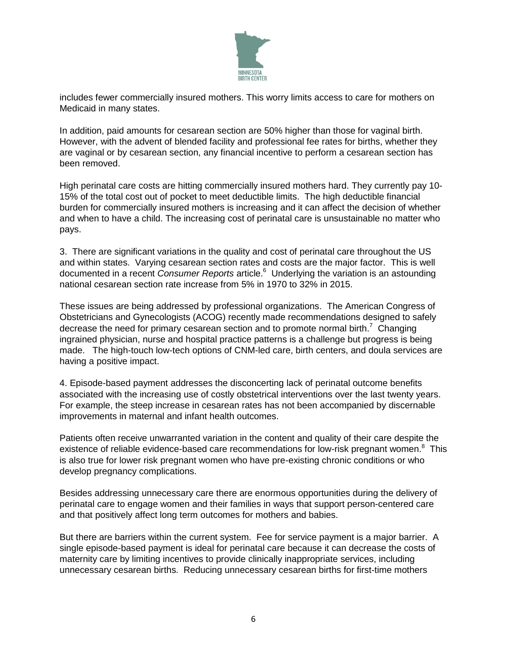

includes fewer commercially insured mothers. This worry limits access to care for mothers on Medicaid in many states.

In addition, paid amounts for cesarean section are 50% higher than those for vaginal birth. However, with the advent of blended facility and professional fee rates for births, whether they are vaginal or by cesarean section, any financial incentive to perform a cesarean section has been removed.

High perinatal care costs are hitting commercially insured mothers hard. They currently pay 10- 15% of the total cost out of pocket to meet deductible limits. The high deductible financial burden for commercially insured mothers is increasing and it can affect the decision of whether and when to have a child. The increasing cost of perinatal care is unsustainable no matter who pays.

3. There are significant variations in the quality and cost of perinatal care throughout the US and within states. Varying cesarean section rates and costs are the major factor. This is well documented in a recent *Consumer Reports* article. 6 Underlying the variation is an astounding national cesarean section rate increase from 5% in 1970 to 32% in 2015.

These issues are being addressed by professional organizations. The American Congress of Obstetricians and Gynecologists (ACOG) recently made recommendations designed to safely decrease the need for primary cesarean section and to promote normal birth.<sup>7</sup> Changing ingrained physician, nurse and hospital practice patterns is a challenge but progress is being made. The high-touch low-tech options of CNM-led care, birth centers, and doula services are having a positive impact.

4. Episode-based payment addresses the disconcerting lack of perinatal outcome benefits associated with the increasing use of costly obstetrical interventions over the last twenty years. For example, the steep increase in cesarean rates has not been accompanied by discernable improvements in maternal and infant health outcomes.

Patients often receive unwarranted variation in the content and quality of their care despite the existence of reliable evidence-based care recommendations for low-risk pregnant women.<sup>8</sup> This is also true for lower risk pregnant women who have pre-existing chronic conditions or who develop pregnancy complications.

Besides addressing unnecessary care there are enormous opportunities during the delivery of perinatal care to engage women and their families in ways that support person-centered care and that positively affect long term outcomes for mothers and babies.

But there are barriers within the current system. Fee for service payment is a major barrier. A single episode-based payment is ideal for perinatal care because it can decrease the costs of maternity care by limiting incentives to provide clinically inappropriate services, including unnecessary cesarean births. Reducing unnecessary cesarean births for first-time mothers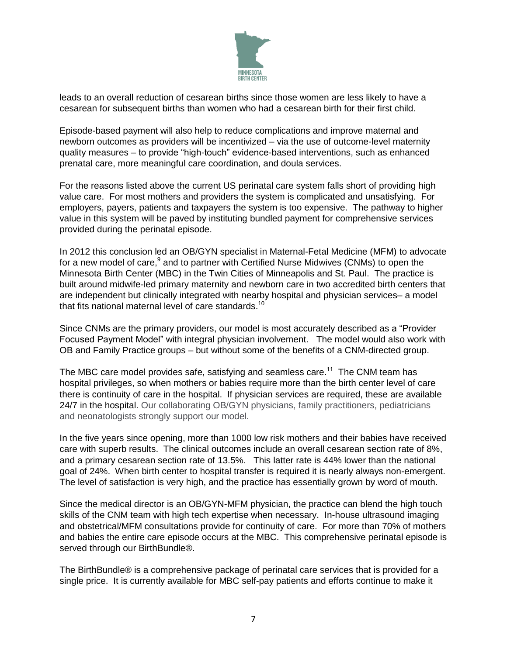

leads to an overall reduction of cesarean births since those women are less likely to have a cesarean for subsequent births than women who had a cesarean birth for their first child.

Episode-based payment will also help to reduce complications and improve maternal and newborn outcomes as providers will be incentivized – via the use of outcome-level maternity quality measures – to provide "high-touch" evidence-based interventions, such as enhanced prenatal care, more meaningful care coordination, and doula services.

For the reasons listed above the current US perinatal care system falls short of providing high value care. For most mothers and providers the system is complicated and unsatisfying. For employers, payers, patients and taxpayers the system is too expensive. The pathway to higher value in this system will be paved by instituting bundled payment for comprehensive services provided during the perinatal episode.

In 2012 this conclusion led an OB/GYN specialist in Maternal-Fetal Medicine (MFM) to advocate for a new model of care,<sup>9</sup> and to partner with Certified Nurse Midwives (CNMs) to open the Minnesota Birth Center (MBC) in the Twin Cities of Minneapolis and St. Paul. The practice is built around midwife-led primary maternity and newborn care in two accredited birth centers that are independent but clinically integrated with nearby hospital and physician services– a model that fits national maternal level of care standards.<sup>10</sup>

Since CNMs are the primary providers, our model is most accurately described as a "Provider Focused Payment Model" with integral physician involvement. The model would also work with OB and Family Practice groups – but without some of the benefits of a CNM-directed group.

The MBC care model provides safe, satisfying and seamless care.<sup>11</sup> The CNM team has hospital privileges, so when mothers or babies require more than the birth center level of care there is continuity of care in the hospital. If physician services are required, these are available 24/7 in the hospital. Our collaborating OB/GYN physicians, family practitioners, pediatricians and neonatologists strongly support our model.

In the five years since opening, more than 1000 low risk mothers and their babies have received care with superb results. The clinical outcomes include an overall cesarean section rate of 8%, and a primary cesarean section rate of 13.5%. This latter rate is 44% lower than the national goal of 24%. When birth center to hospital transfer is required it is nearly always non-emergent. The level of satisfaction is very high, and the practice has essentially grown by word of mouth.

Since the medical director is an OB/GYN-MFM physician, the practice can blend the high touch skills of the CNM team with high tech expertise when necessary. In-house ultrasound imaging and obstetrical/MFM consultations provide for continuity of care. For more than 70% of mothers and babies the entire care episode occurs at the MBC. This comprehensive perinatal episode is served through our BirthBundle<sup>®</sup>.

The BirthBundle® is a comprehensive package of perinatal care services that is provided for a single price. It is currently available for MBC self-pay patients and efforts continue to make it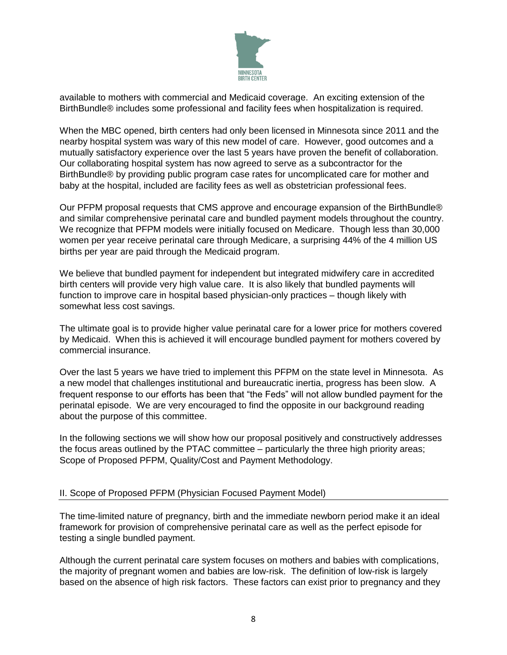

available to mothers with commercial and Medicaid coverage. An exciting extension of the BirthBundle® includes some professional and facility fees when hospitalization is required.

When the MBC opened, birth centers had only been licensed in Minnesota since 2011 and the nearby hospital system was wary of this new model of care. However, good outcomes and a mutually satisfactory experience over the last 5 years have proven the benefit of collaboration. Our collaborating hospital system has now agreed to serve as a subcontractor for the BirthBundle® by providing public program case rates for uncomplicated care for mother and baby at the hospital, included are facility fees as well as obstetrician professional fees.

Our PFPM proposal requests that CMS approve and encourage expansion of the BirthBundle® and similar comprehensive perinatal care and bundled payment models throughout the country. We recognize that PFPM models were initially focused on Medicare. Though less than 30,000 women per year receive perinatal care through Medicare, a surprising 44% of the 4 million US births per year are paid through the Medicaid program.

We believe that bundled payment for independent but integrated midwifery care in accredited birth centers will provide very high value care. It is also likely that bundled payments will function to improve care in hospital based physician-only practices – though likely with somewhat less cost savings.

The ultimate goal is to provide higher value perinatal care for a lower price for mothers covered by Medicaid. When this is achieved it will encourage bundled payment for mothers covered by commercial insurance.

Over the last 5 years we have tried to implement this PFPM on the state level in Minnesota. As a new model that challenges institutional and bureaucratic inertia, progress has been slow. A frequent response to our efforts has been that "the Feds" will not allow bundled payment for the perinatal episode. We are very encouraged to find the opposite in our background reading about the purpose of this committee.

In the following sections we will show how our proposal positively and constructively addresses the focus areas outlined by the PTAC committee – particularly the three high priority areas; Scope of Proposed PFPM, Quality/Cost and Payment Methodology.

#### II. Scope of Proposed PFPM (Physician Focused Payment Model)

The time-limited nature of pregnancy, birth and the immediate newborn period make it an ideal framework for provision of comprehensive perinatal care as well as the perfect episode for testing a single bundled payment.

Although the current perinatal care system focuses on mothers and babies with complications, the majority of pregnant women and babies are low-risk. The definition of low-risk is largely based on the absence of high risk factors. These factors can exist prior to pregnancy and they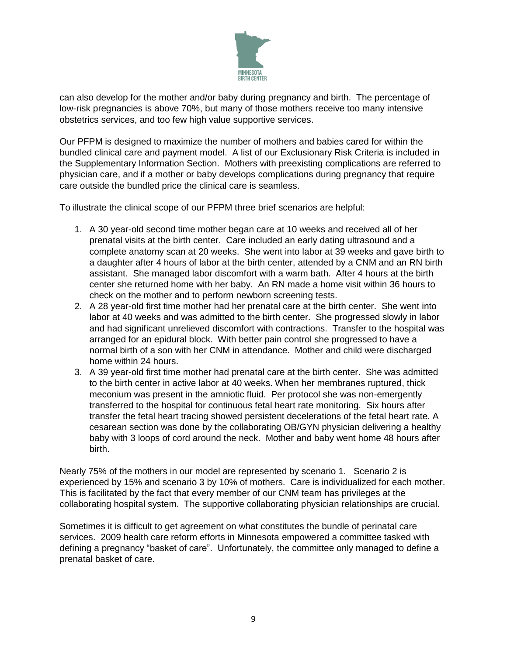

can also develop for the mother and/or baby during pregnancy and birth. The percentage of low-risk pregnancies is above 70%, but many of those mothers receive too many intensive obstetrics services, and too few high value supportive services.

Our PFPM is designed to maximize the number of mothers and babies cared for within the bundled clinical care and payment model. A list of our Exclusionary Risk Criteria is included in the Supplementary Information Section. Mothers with preexisting complications are referred to physician care, and if a mother or baby develops complications during pregnancy that require care outside the bundled price the clinical care is seamless.

To illustrate the clinical scope of our PFPM three brief scenarios are helpful:

- 1. A 30 year-old second time mother began care at 10 weeks and received all of her prenatal visits at the birth center. Care included an early dating ultrasound and a complete anatomy scan at 20 weeks. She went into labor at 39 weeks and gave birth to a daughter after 4 hours of labor at the birth center, attended by a CNM and an RN birth assistant. She managed labor discomfort with a warm bath. After 4 hours at the birth center she returned home with her baby. An RN made a home visit within 36 hours to check on the mother and to perform newborn screening tests.
- 2. A 28 year-old first time mother had her prenatal care at the birth center. She went into labor at 40 weeks and was admitted to the birth center. She progressed slowly in labor and had significant unrelieved discomfort with contractions. Transfer to the hospital was arranged for an epidural block. With better pain control she progressed to have a normal birth of a son with her CNM in attendance. Mother and child were discharged home within 24 hours.
- 3. A 39 year-old first time mother had prenatal care at the birth center. She was admitted to the birth center in active labor at 40 weeks. When her membranes ruptured, thick meconium was present in the amniotic fluid. Per protocol she was non-emergently transferred to the hospital for continuous fetal heart rate monitoring. Six hours after transfer the fetal heart tracing showed persistent decelerations of the fetal heart rate. A cesarean section was done by the collaborating OB/GYN physician delivering a healthy baby with 3 loops of cord around the neck. Mother and baby went home 48 hours after birth.

Nearly 75% of the mothers in our model are represented by scenario 1. Scenario 2 is experienced by 15% and scenario 3 by 10% of mothers. Care is individualized for each mother. This is facilitated by the fact that every member of our CNM team has privileges at the collaborating hospital system. The supportive collaborating physician relationships are crucial.

Sometimes it is difficult to get agreement on what constitutes the bundle of perinatal care services. 2009 health care reform efforts in Minnesota empowered a committee tasked with defining a pregnancy "basket of care". Unfortunately, the committee only managed to define a prenatal basket of care.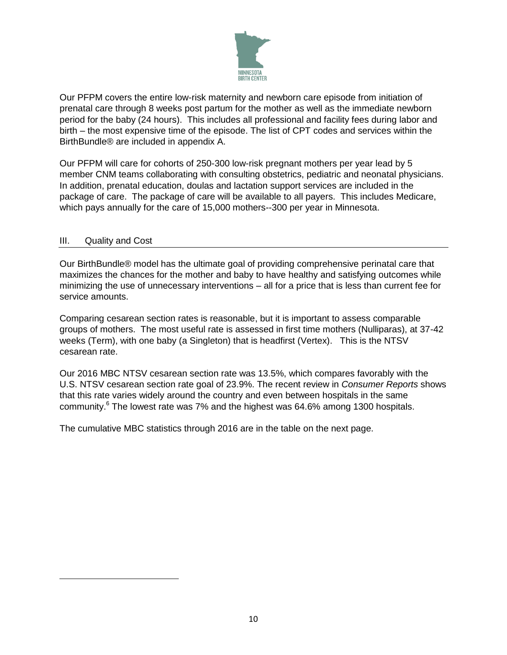

Our PFPM covers the entire low-risk maternity and newborn care episode from initiation of prenatal care through 8 weeks post partum for the mother as well as the immediate newborn period for the baby (24 hours). This includes all professional and facility fees during labor and birth – the most expensive time of the episode. The list of CPT codes and services within the BirthBundle® are included in appendix A.

Our PFPM will care for cohorts of 250-300 low-risk pregnant mothers per year lead by 5 member CNM teams collaborating with consulting obstetrics, pediatric and neonatal physicians. In addition, prenatal education, doulas and lactation support services are included in the package of care. The package of care will be available to all payers. This includes Medicare, which pays annually for the care of 15,000 mothers--300 per year in Minnesota.

#### III. Quality and Cost

 $\overline{\phantom{a}}$ 

Our BirthBundle® model has the ultimate goal of providing comprehensive perinatal care that maximizes the chances for the mother and baby to have healthy and satisfying outcomes while minimizing the use of unnecessary interventions – all for a price that is less than current fee for service amounts.

Comparing cesarean section rates is reasonable, but it is important to assess comparable groups of mothers. The most useful rate is assessed in first time mothers (Nulliparas), at 37-42 weeks (Term), with one baby (a Singleton) that is headfirst (Vertex). This is the NTSV cesarean rate.

Our 2016 MBC NTSV cesarean section rate was 13.5%, which compares favorably with the U.S. NTSV cesarean section rate goal of 23.9%. The recent review in *Consumer Reports* shows that this rate varies widely around the country and even between hospitals in the same community.<sup>6</sup> The lowest rate was 7% and the highest was 64.6% among 1300 hospitals.

The cumulative MBC statistics through 2016 are in the table on the next page.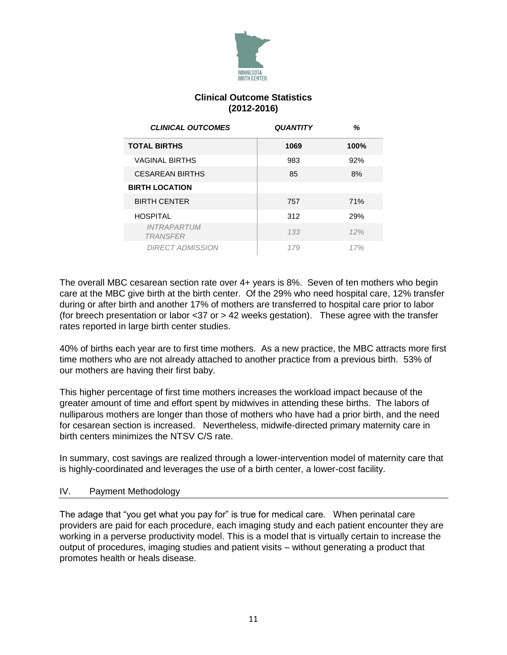

## **Clinical Outcome Statistics (2012-2016)**

| <b>CLINICAL OUTCOMES</b>              | <b>QUANTITY</b> | ℅    |
|---------------------------------------|-----------------|------|
| <b>TOTAL BIRTHS</b>                   | 1069            | 100% |
| <b>VAGINAL BIRTHS</b>                 | 983             | 92%  |
| <b>CESAREAN BIRTHS</b>                | 85              | 8%   |
| <b>BIRTH LOCATION</b>                 |                 |      |
| <b>BIRTH CENTER</b>                   | 757             | 71%  |
| <b>HOSPITAL</b>                       | 312             | 29%  |
| <b>INTRAPARTUM</b><br><b>TRANSFER</b> | 133             | 12%  |
| <b>DIRECT ADMISSION</b>               | 179             | 17%  |

The overall MBC cesarean section rate over 4+ years is 8%. Seven of ten mothers who begin care at the MBC give birth at the birth center. Of the 29% who need hospital care, 12% transfer during or after birth and another 17% of mothers are transferred to hospital care prior to labor (for breech presentation or labor <37 or > 42 weeks gestation). These agree with the transfer rates reported in large birth center studies.

40% of births each year are to first time mothers. As a new practice, the MBC attracts more first time mothers who are not already attached to another practice from a previous birth. 53% of our mothers are having their first baby.

This higher percentage of first time mothers increases the workload impact because of the greater amount of time and effort spent by midwives in attending these births. The labors of nulliparous mothers are longer than those of mothers who have had a prior birth, and the need for cesarean section is increased. Nevertheless, midwife-directed primary maternity care in birth centers minimizes the NTSV C/S rate.

In summary, cost savings are realized through a lower-intervention model of maternity care that is highly-coordinated and leverages the use of a birth center, a lower-cost facility.

#### IV. Payment Methodology

The adage that "you get what you pay for" is true for medical care. When perinatal care providers are paid for each procedure, each imaging study and each patient encounter they are working in a perverse productivity model. This is a model that is virtually certain to increase the output of procedures, imaging studies and patient visits – without generating a product that promotes health or heals disease.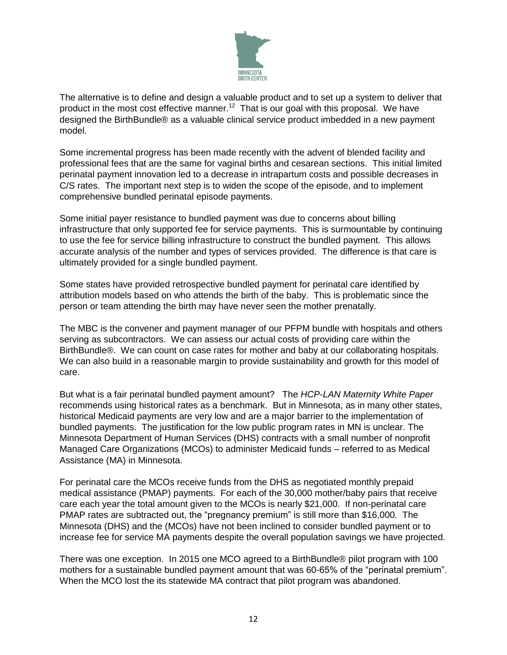

The alternative is to define and design a valuable product and to set up a system to deliver that product in the most cost effective manner.<sup>12</sup> That is our goal with this proposal. We have designed the BirthBundle® as a valuable clinical service product imbedded in a new payment model.

Some incremental progress has been made recently with the advent of blended facility and professional fees that are the same for vaginal births and cesarean sections. This initial limited perinatal payment innovation led to a decrease in intrapartum costs and possible decreases in C/S rates. The important next step is to widen the scope of the episode, and to implement comprehensive bundled perinatal episode payments.

Some initial payer resistance to bundled payment was due to concerns about billing infrastructure that only supported fee for service payments. This is surmountable by continuing to use the fee for service billing infrastructure to construct the bundled payment. This allows accurate analysis of the number and types of services provided. The difference is that care is ultimately provided for a single bundled payment.

Some states have provided retrospective bundled payment for perinatal care identified by attribution models based on who attends the birth of the baby. This is problematic since the person or team attending the birth may have never seen the mother prenatally.

The MBC is the convener and payment manager of our PFPM bundle with hospitals and others serving as subcontractors. We can assess our actual costs of providing care within the BirthBundle®. We can count on case rates for mother and baby at our collaborating hospitals. We can also build in a reasonable margin to provide sustainability and growth for this model of care.

But what is a fair perinatal bundled payment amount? The *HCP-LAN Maternity White Paper*  recommends using historical rates as a benchmark. But in Minnesota, as in many other states, historical Medicaid payments are very low and are a major barrier to the implementation of bundled payments. The justification for the low public program rates in MN is unclear. The Minnesota Department of Human Services (DHS) contracts with a small number of nonprofit Managed Care Organizations (MCOs) to administer Medicaid funds – referred to as Medical Assistance (MA) in Minnesota.

For perinatal care the MCOs receive funds from the DHS as negotiated monthly prepaid medical assistance (PMAP) payments. For each of the 30,000 mother/baby pairs that receive care each year the total amount given to the MCOs is nearly \$21,000. If non-perinatal care PMAP rates are subtracted out, the "pregnancy premium" is still more than \$16,000. The Minnesota (DHS) and the (MCOs) have not been inclined to consider bundled payment or to increase fee for service MA payments despite the overall population savings we have projected.

There was one exception. In 2015 one MCO agreed to a BirthBundle® pilot program with 100 mothers for a sustainable bundled payment amount that was 60-65% of the "perinatal premium". When the MCO lost the its statewide MA contract that pilot program was abandoned.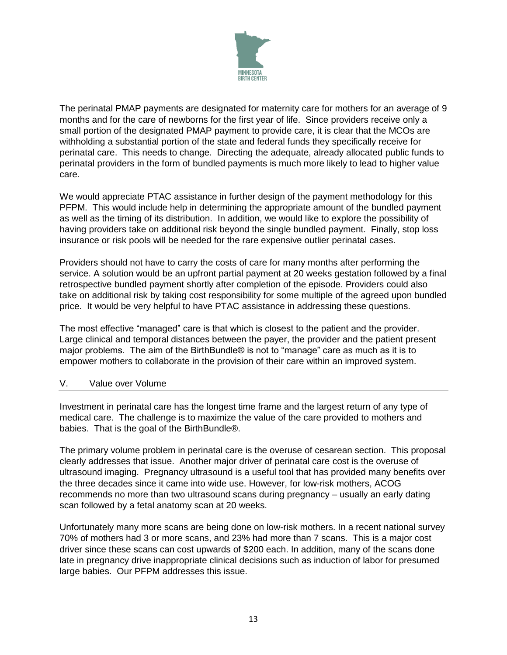

The perinatal PMAP payments are designated for maternity care for mothers for an average of 9 months and for the care of newborns for the first year of life. Since providers receive only a small portion of the designated PMAP payment to provide care, it is clear that the MCOs are withholding a substantial portion of the state and federal funds they specifically receive for perinatal care. This needs to change. Directing the adequate, already allocated public funds to perinatal providers in the form of bundled payments is much more likely to lead to higher value care.

We would appreciate PTAC assistance in further design of the payment methodology for this PFPM. This would include help in determining the appropriate amount of the bundled payment as well as the timing of its distribution. In addition, we would like to explore the possibility of having providers take on additional risk beyond the single bundled payment. Finally, stop loss insurance or risk pools will be needed for the rare expensive outlier perinatal cases.

Providers should not have to carry the costs of care for many months after performing the service. A solution would be an upfront partial payment at 20 weeks gestation followed by a final retrospective bundled payment shortly after completion of the episode. Providers could also take on additional risk by taking cost responsibility for some multiple of the agreed upon bundled price. It would be very helpful to have PTAC assistance in addressing these questions.

The most effective "managed" care is that which is closest to the patient and the provider. Large clinical and temporal distances between the payer, the provider and the patient present major problems. The aim of the BirthBundle® is not to "manage" care as much as it is to empower mothers to collaborate in the provision of their care within an improved system.

#### V. Value over Volume

Investment in perinatal care has the longest time frame and the largest return of any type of medical care. The challenge is to maximize the value of the care provided to mothers and babies. That is the goal of the BirthBundle®.

The primary volume problem in perinatal care is the overuse of cesarean section. This proposal clearly addresses that issue. Another major driver of perinatal care cost is the overuse of ultrasound imaging. Pregnancy ultrasound is a useful tool that has provided many benefits over the three decades since it came into wide use. However, for low-risk mothers, ACOG recommends no more than two ultrasound scans during pregnancy – usually an early dating scan followed by a fetal anatomy scan at 20 weeks.

Unfortunately many more scans are being done on low-risk mothers. In a recent national survey 70% of mothers had 3 or more scans, and 23% had more than 7 scans. This is a major cost driver since these scans can cost upwards of \$200 each. In addition, many of the scans done late in pregnancy drive inappropriate clinical decisions such as induction of labor for presumed large babies. Our PFPM addresses this issue.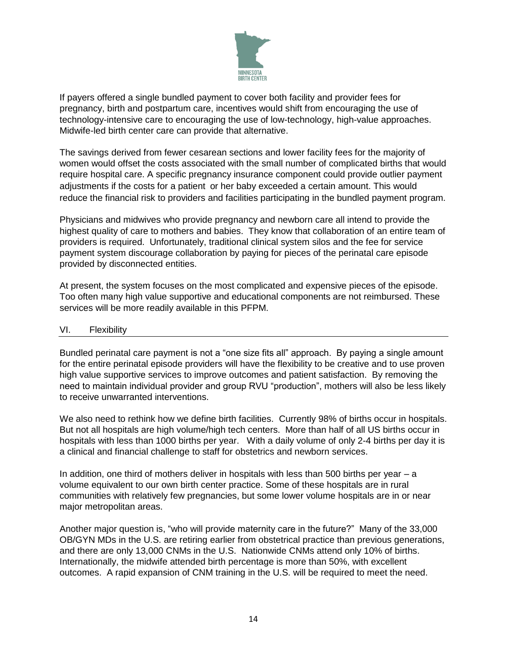

If payers offered a single bundled payment to cover both facility and provider fees for pregnancy, birth and postpartum care, incentives would shift from encouraging the use of technology-intensive care to encouraging the use of low-technology, high-value approaches. Midwife-led birth center care can provide that alternative.

The savings derived from fewer cesarean sections and lower facility fees for the majority of women would offset the costs associated with the small number of complicated births that would require hospital care. A specific pregnancy insurance component could provide outlier payment adjustments if the costs for a patient or her baby exceeded a certain amount. This would reduce the financial risk to providers and facilities participating in the bundled payment program.

Physicians and midwives who provide pregnancy and newborn care all intend to provide the highest quality of care to mothers and babies. They know that collaboration of an entire team of providers is required. Unfortunately, traditional clinical system silos and the fee for service payment system discourage collaboration by paying for pieces of the perinatal care episode provided by disconnected entities.

At present, the system focuses on the most complicated and expensive pieces of the episode. Too often many high value supportive and educational components are not reimbursed. These services will be more readily available in this PFPM.

## VI. Flexibility

Bundled perinatal care payment is not a "one size fits all" approach. By paying a single amount for the entire perinatal episode providers will have the flexibility to be creative and to use proven high value supportive services to improve outcomes and patient satisfaction. By removing the need to maintain individual provider and group RVU "production", mothers will also be less likely to receive unwarranted interventions.

We also need to rethink how we define birth facilities. Currently 98% of births occur in hospitals. But not all hospitals are high volume/high tech centers. More than half of all US births occur in hospitals with less than 1000 births per year. With a daily volume of only 2-4 births per day it is a clinical and financial challenge to staff for obstetrics and newborn services.

In addition, one third of mothers deliver in hospitals with less than 500 births per year  $-$  a volume equivalent to our own birth center practice. Some of these hospitals are in rural communities with relatively few pregnancies, but some lower volume hospitals are in or near major metropolitan areas.

Another major question is, "who will provide maternity care in the future?" Many of the 33,000 OB/GYN MDs in the U.S. are retiring earlier from obstetrical practice than previous generations, and there are only 13,000 CNMs in the U.S. Nationwide CNMs attend only 10% of births. Internationally, the midwife attended birth percentage is more than 50%, with excellent outcomes. A rapid expansion of CNM training in the U.S. will be required to meet the need.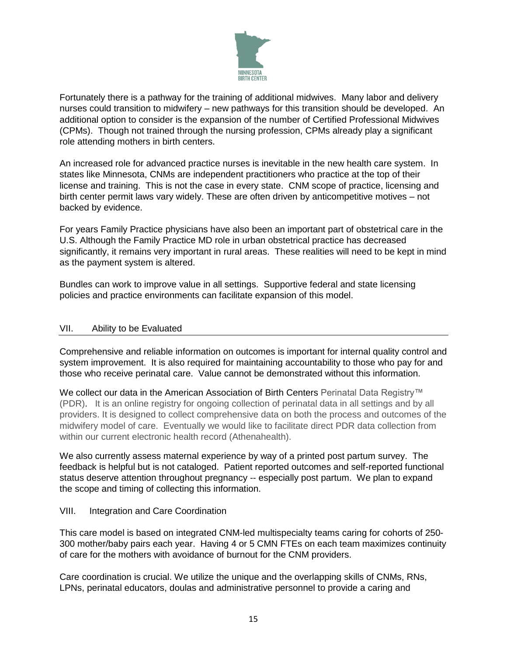

Fortunately there is a pathway for the training of additional midwives. Many labor and delivery nurses could transition to midwifery – new pathways for this transition should be developed. An additional option to consider is the expansion of the number of Certified Professional Midwives (CPMs). Though not trained through the nursing profession, CPMs already play a significant role attending mothers in birth centers.

An increased role for advanced practice nurses is inevitable in the new health care system. In states like Minnesota, CNMs are independent practitioners who practice at the top of their license and training. This is not the case in every state. CNM scope of practice, licensing and birth center permit laws vary widely. These are often driven by anticompetitive motives – not backed by evidence.

For years Family Practice physicians have also been an important part of obstetrical care in the U.S. Although the Family Practice MD role in urban obstetrical practice has decreased significantly, it remains very important in rural areas. These realities will need to be kept in mind as the payment system is altered.

Bundles can work to improve value in all settings. Supportive federal and state licensing policies and practice environments can facilitate expansion of this model.

## VII. Ability to be Evaluated

Comprehensive and reliable information on outcomes is important for internal quality control and system improvement. It is also required for maintaining accountability to those who pay for and those who receive perinatal care. Value cannot be demonstrated without this information.

We collect our data in the American Association of Birth Centers Perinatal Data Registry™ (PDR). It is an online registry for ongoing collection of perinatal data in all settings and by all providers. It is designed to collect comprehensive data on both the process and outcomes of the midwifery model of care. Eventually we would like to facilitate direct PDR data collection from within our current electronic health record (Athenahealth).

We also currently assess maternal experience by way of a printed post partum survey. The feedback is helpful but is not cataloged. Patient reported outcomes and self-reported functional status deserve attention throughout pregnancy -- especially post partum. We plan to expand the scope and timing of collecting this information.

## VIII. Integration and Care Coordination

This care model is based on integrated CNM-led multispecialty teams caring for cohorts of 250- 300 mother/baby pairs each year. Having 4 or 5 CMN FTEs on each team maximizes continuity of care for the mothers with avoidance of burnout for the CNM providers.

Care coordination is crucial. We utilize the unique and the overlapping skills of CNMs, RNs, LPNs, perinatal educators, doulas and administrative personnel to provide a caring and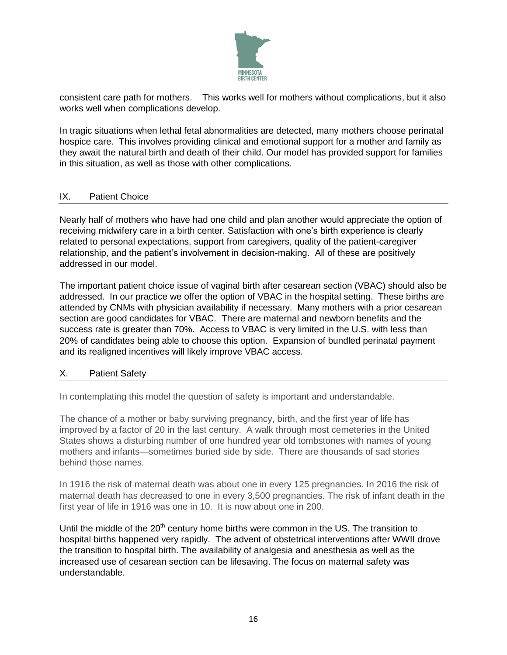

consistent care path for mothers. This works well for mothers without complications, but it also works well when complications develop.

In tragic situations when lethal fetal abnormalities are detected, many mothers choose perinatal hospice care. This involves providing clinical and emotional support for a mother and family as they await the natural birth and death of their child. Our model has provided support for families in this situation, as well as those with other complications.

## IX. Patient Choice

Nearly half of mothers who have had one child and plan another would appreciate the option of receiving midwifery care in a birth center. Satisfaction with one's birth experience is clearly related to personal expectations, support from caregivers, quality of the patient-caregiver relationship, and the patient's involvement in decision-making. All of these are positively addressed in our model.

The important patient choice issue of vaginal birth after cesarean section (VBAC) should also be addressed. In our practice we offer the option of VBAC in the hospital setting. These births are attended by CNMs with physician availability if necessary. Many mothers with a prior cesarean section are good candidates for VBAC. There are maternal and newborn benefits and the success rate is greater than 70%. Access to VBAC is very limited in the U.S. with less than 20% of candidates being able to choose this option. Expansion of bundled perinatal payment and its realigned incentives will likely improve VBAC access.

## X. Patient Safety

In contemplating this model the question of safety is important and understandable.

The chance of a mother or baby surviving pregnancy, birth, and the first year of life has improved by a factor of 20 in the last century. A walk through most cemeteries in the United States shows a disturbing number of one hundred year old tombstones with names of young mothers and infants—sometimes buried side by side. There are thousands of sad stories behind those names.

In 1916 the risk of maternal death was about one in every 125 pregnancies. In 2016 the risk of maternal death has decreased to one in every 3,500 pregnancies. The risk of infant death in the first year of life in 1916 was one in 10. It is now about one in 200.

Until the middle of the  $20<sup>th</sup>$  century home births were common in the US. The transition to hospital births happened very rapidly. The advent of obstetrical interventions after WWII drove the transition to hospital birth. The availability of analgesia and anesthesia as well as the increased use of cesarean section can be lifesaving. The focus on maternal safety was understandable.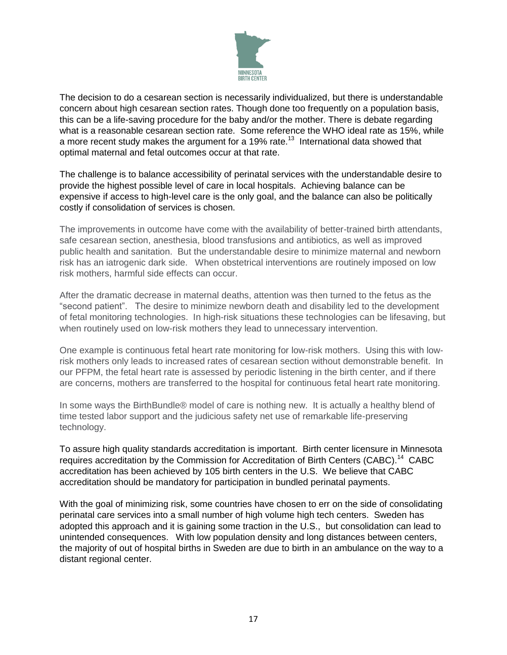

The decision to do a cesarean section is necessarily individualized, but there is understandable concern about high cesarean section rates. Though done too frequently on a population basis, this can be a life-saving procedure for the baby and/or the mother. There is debate regarding what is a reasonable cesarean section rate. Some reference the WHO ideal rate as 15%, while a more recent study makes the argument for a 19% rate.<sup>13</sup> International data showed that optimal maternal and fetal outcomes occur at that rate.

The challenge is to balance accessibility of perinatal services with the understandable desire to provide the highest possible level of care in local hospitals. Achieving balance can be expensive if access to high-level care is the only goal, and the balance can also be politically costly if consolidation of services is chosen.

The improvements in outcome have come with the availability of better-trained birth attendants, safe cesarean section, anesthesia, blood transfusions and antibiotics, as well as improved public health and sanitation. But the understandable desire to minimize maternal and newborn risk has an iatrogenic dark side. When obstetrical interventions are routinely imposed on low risk mothers, harmful side effects can occur.

After the dramatic decrease in maternal deaths, attention was then turned to the fetus as the "second patient". The desire to minimize newborn death and disability led to the development of fetal monitoring technologies. In high-risk situations these technologies can be lifesaving, but when routinely used on low-risk mothers they lead to unnecessary intervention.

One example is continuous fetal heart rate monitoring for low-risk mothers. Using this with lowrisk mothers only leads to increased rates of cesarean section without demonstrable benefit. In our PFPM, the fetal heart rate is assessed by periodic listening in the birth center, and if there are concerns, mothers are transferred to the hospital for continuous fetal heart rate monitoring.

In some ways the BirthBundle® model of care is nothing new. It is actually a healthy blend of time tested labor support and the judicious safety net use of remarkable life-preserving technology.

To assure high quality standards accreditation is important. Birth center licensure in Minnesota requires accreditation by the Commission for Accreditation of Birth Centers (CABC).<sup>14</sup> CABC accreditation has been achieved by 105 birth centers in the U.S. We believe that CABC accreditation should be mandatory for participation in bundled perinatal payments.

With the goal of minimizing risk, some countries have chosen to err on the side of consolidating perinatal care services into a small number of high volume high tech centers. Sweden has adopted this approach and it is gaining some traction in the U.S., but consolidation can lead to unintended consequences. With low population density and long distances between centers, the majority of out of hospital births in Sweden are due to birth in an ambulance on the way to a distant regional center.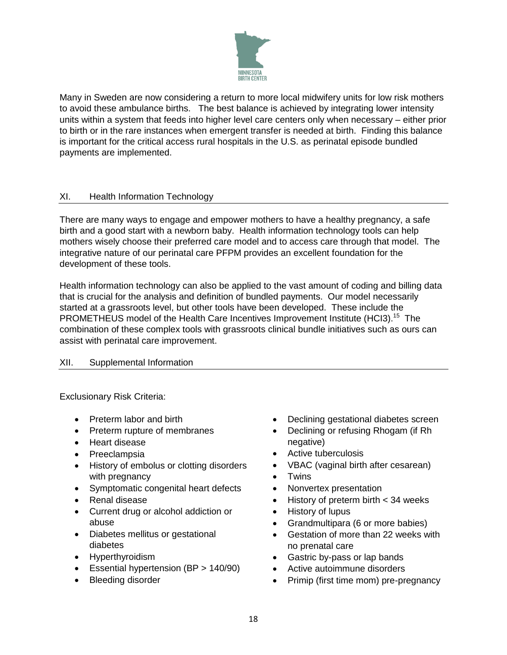

Many in Sweden are now considering a return to more local midwifery units for low risk mothers to avoid these ambulance births. The best balance is achieved by integrating lower intensity units within a system that feeds into higher level care centers only when necessary – either prior to birth or in the rare instances when emergent transfer is needed at birth. Finding this balance is important for the critical access rural hospitals in the U.S. as perinatal episode bundled payments are implemented.

## XI. Health Information Technology

There are many ways to engage and empower mothers to have a healthy pregnancy, a safe birth and a good start with a newborn baby. Health information technology tools can help mothers wisely choose their preferred care model and to access care through that model. The integrative nature of our perinatal care PFPM provides an excellent foundation for the development of these tools.

Health information technology can also be applied to the vast amount of coding and billing data that is crucial for the analysis and definition of bundled payments. Our model necessarily started at a grassroots level, but other tools have been developed. These include the PROMETHEUS model of the Health Care Incentives Improvement Institute (HCI3).<sup>15</sup> The combination of these complex tools with grassroots clinical bundle initiatives such as ours can assist with perinatal care improvement.

## XII. Supplemental Information

Exclusionary Risk Criteria:

- Preterm labor and birth
- Preterm rupture of membranes
- Heart disease
- Preeclampsia
- History of embolus or clotting disorders with pregnancy
- Symptomatic congenital heart defects
- Renal disease
- Current drug or alcohol addiction or abuse
- Diabetes mellitus or gestational diabetes
- Hyperthyroidism
- Essential hypertension (BP > 140/90)
- Bleeding disorder
- Declining gestational diabetes screen
- Declining or refusing Rhogam (if Rh negative)
- Active tuberculosis
- VBAC (vaginal birth after cesarean)
- Twins
- Nonvertex presentation
- History of preterm birth < 34 weeks
- History of lupus
- Grandmultipara (6 or more babies)
- Gestation of more than 22 weeks with no prenatal care
- Gastric by-pass or lap bands
- Active autoimmune disorders
- Primip (first time mom) pre-pregnancy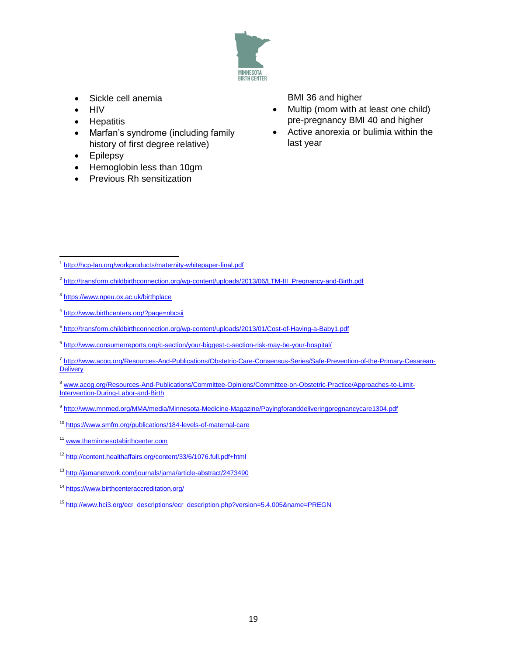

- Sickle cell anemia
- **HIV**
- Hepatitis
- Marfan's syndrome (including family history of first degree relative)
- Epilepsy
- Hemoglobin less than 10gm
- Previous Rh sensitization

BMI 36 and higher

- Multip (mom with at least one child) pre-pregnancy BMI 40 and higher
- Active anorexia or bulimia within the last year

- <sup>2</sup> [http://transform.childbirthconnection.org/wp-content/uploads/2013/06/LTM-III\\_Pregnancy-and-Birth.pdf](http://transform.childbirthconnection.org/wp-content/uploads/2013/06/LTM-III_Pregnancy-and-Birth.pdf)
- <sup>3</sup><https://www.npeu.ox.ac.uk/birthplace>
- <sup>4</sup> <http://www.birthcenters.org/?page=nbcsii>
- <sup>5</sup>http://transform.childbirthconnection.org/wp-content/uploads/2013/01/Cost-of-Having-a-Baby1.pdf
- <sup>6</sup> <http://www.consumerreports.org/c-section/your-biggest-c-section-risk-may-be-your-hospital/>
- 7 http://www.acog.org/Resources-And-Publications/Obstetric-Care-Consensus-Series/Safe-Prevention-of-the-Primary-Cesarean-**Delivery**
- <sup>8</sup> [www.acog.org/Resources-And-Publications/Committee-Opinions/Committee-on-Obstetric-Practice/Approaches-to-Limit-](http://www.acog.org/Resources-And-Publications/Committee-Opinions/Committee-on-Obstetric-Practice/Approaches-to-Limit-Intervention-During-Labor-and-Birth)[Intervention-During-Labor-and-Birth](http://www.acog.org/Resources-And-Publications/Committee-Opinions/Committee-on-Obstetric-Practice/Approaches-to-Limit-Intervention-During-Labor-and-Birth)
- <sup>9</sup> http://www.mnmed.org/MMA/media/Minnesota-Medicine-Magazine/Payingforanddeliveringpregnancycare1304.pdf
- <sup>10</sup> <https://www.smfm.org/publications/184-levels-of-maternal-care>
- <sup>11</sup> [www.theminnesotabirthcenter.com](http://www.theminnesotabirthcenter.com/)
- <sup>12</sup> <http://content.healthaffairs.org/content/33/6/1076.full.pdf+html>
- <sup>13</sup> <http://jamanetwork.com/journals/jama/article-abstract/2473490>
- <sup>14</sup> https://www.birthcenteraccreditation.org/
- <sup>15</sup> [http://www.hci3.org/ecr\\_descriptions/ecr\\_description.php?version=5.4.005&name=PREGN](http://www.hci3.org/ecr_descriptions/ecr_description.php?version=5.4.005&name=PREGN)

<sup>&</sup>lt;sup>1</sup> http://hcp-lan.org/workproducts/maternity-whitepaper-final.pdf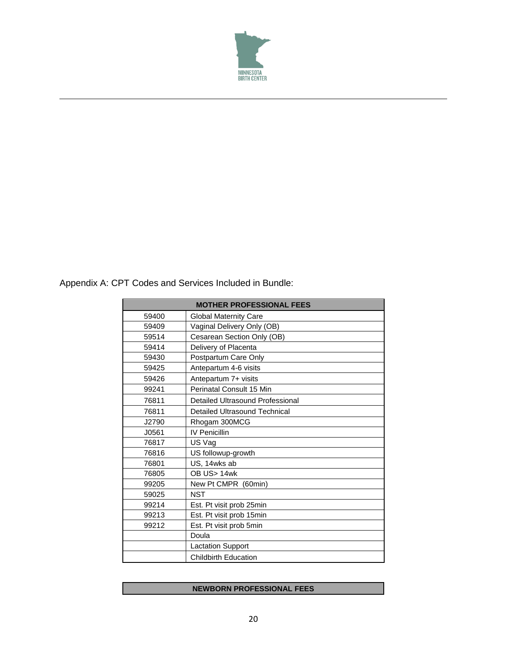

Appendix A: CPT Codes and Services Included in Bundle:

 $\overline{\phantom{a}}$ 

| <b>MOTHER PROFESSIONAL FEES</b> |                                      |  |
|---------------------------------|--------------------------------------|--|
| 59400                           | <b>Global Maternity Care</b>         |  |
| 59409                           | Vaginal Delivery Only (OB)           |  |
| 59514                           | Cesarean Section Only (OB)           |  |
| 59414                           | Delivery of Placenta                 |  |
| 59430                           | Postpartum Care Only                 |  |
| 59425                           | Antepartum 4-6 visits                |  |
| 59426                           | Antepartum 7+ visits                 |  |
| 99241                           | Perinatal Consult 15 Min             |  |
| 76811                           | Detailed Ultrasound Professional     |  |
| 76811                           | <b>Detailed Ultrasound Technical</b> |  |
| J2790                           | Rhogam 300MCG                        |  |
| J0561                           | <b>IV Penicillin</b>                 |  |
| 76817                           | US Vag                               |  |
| 76816                           | US followup-growth                   |  |
| 76801                           | US, 14wks ab                         |  |
| 76805                           | OB US> 14wk                          |  |
| 99205                           | New Pt CMPR (60min)                  |  |
| 59025                           | <b>NST</b>                           |  |
| 99214                           | Est. Pt visit prob 25min             |  |
| 99213                           | Est. Pt visit prob 15min             |  |
| 99212                           | Est. Pt visit prob 5min              |  |
|                                 | Doula                                |  |
|                                 | <b>Lactation Support</b>             |  |
|                                 | <b>Childbirth Education</b>          |  |

## **NEWBORN PROFESSIONAL FEES**